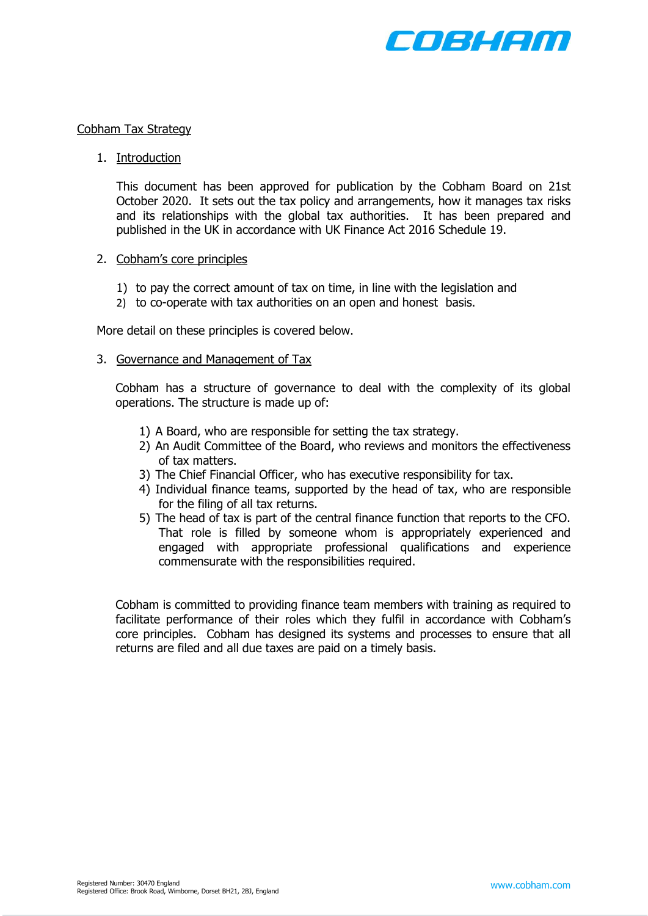

#### Cobham Tax Strategy

# 1. Introduction

This document has been approved for publication by the Cobham Board on 21st October 2020. It sets out the tax policy and arrangements, how it manages tax risks and its relationships with the global tax authorities. It has been prepared and published in the UK in accordance with UK Finance Act 2016 Schedule 19.

# 2. Cobham's core principles

- 1) to pay the correct amount of tax on time, in line with the legislation and
- 2) to co-operate with tax authorities on an open and honest basis.

More detail on these principles is covered below.

# 3. Governance and Management of Tax

Cobham has a structure of governance to deal with the complexity of its global operations. The structure is made up of:

- 1) A Board, who are responsible for setting the tax strategy.
- 2) An Audit Committee of the Board, who reviews and monitors the effectiveness of tax matters.
- 3) The Chief Financial Officer, who has executive responsibility for tax.
- 4) Individual finance teams, supported by the head of tax, who are responsible for the filing of all tax returns.
- 5) The head of tax is part of the central finance function that reports to the CFO. That role is filled by someone whom is appropriately experienced and engaged with appropriate professional qualifications and experience commensurate with the responsibilities required.

Cobham is committed to providing finance team members with training as required to facilitate performance of their roles which they fulfil in accordance with Cobham's core principles. Cobham has designed its systems and processes to ensure that all returns are filed and all due taxes are paid on a timely basis.